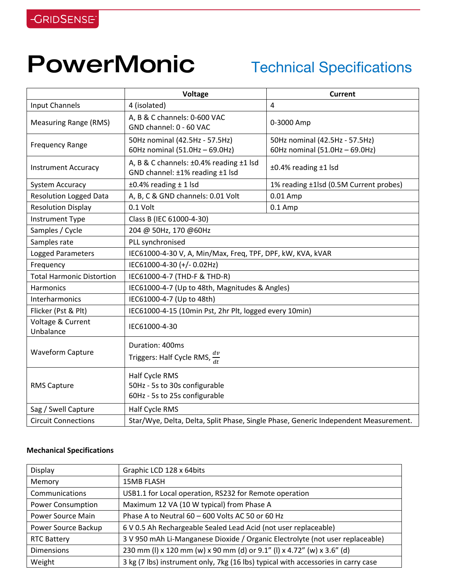## PowerMonic Technical Specifications

|                                  | Voltage                                                                             | <b>Current</b>                                                   |
|----------------------------------|-------------------------------------------------------------------------------------|------------------------------------------------------------------|
| <b>Input Channels</b>            | 4 (isolated)                                                                        | $\overline{4}$                                                   |
| <b>Measuring Range (RMS)</b>     | A, B & C channels: 0-600 VAC<br>GND channel: 0 - 60 VAC                             | 0-3000 Amp                                                       |
| <b>Frequency Range</b>           | 50Hz nominal (42.5Hz - 57.5Hz)<br>60Hz nominal (51.0Hz - 69.0Hz)                    | 50Hz nominal (42.5Hz - 57.5Hz)<br>60Hz nominal (51.0Hz - 69.0Hz) |
| <b>Instrument Accuracy</b>       | A, B & C channels: ±0.4% reading ±1 lsd<br>GND channel: ±1% reading ±1 lsd          | ±0.4% reading ±1 lsd                                             |
| System Accuracy                  | $±0.4\%$ reading $±1$ lsd                                                           | 1% reading ±1lsd (0.5M Current probes)                           |
| <b>Resolution Logged Data</b>    | A, B, C & GND channels: 0.01 Volt                                                   | 0.01 Amp                                                         |
| <b>Resolution Display</b>        | 0.1 Volt                                                                            | $0.1$ Amp                                                        |
| Instrument Type                  | Class B (IEC 61000-4-30)                                                            |                                                                  |
| Samples / Cycle                  | 204 @ 50Hz, 170 @60Hz                                                               |                                                                  |
| Samples rate                     | PLL synchronised                                                                    |                                                                  |
| Logged Parameters                | IEC61000-4-30 V, A, Min/Max, Freq, TPF, DPF, kW, KVA, kVAR                          |                                                                  |
| Frequency                        | IEC61000-4-30 (+/-0.02Hz)                                                           |                                                                  |
| <b>Total Harmonic Distortion</b> | IEC61000-4-7 (THD-F & THD-R)                                                        |                                                                  |
| Harmonics                        | IEC61000-4-7 (Up to 48th, Magnitudes & Angles)                                      |                                                                  |
| Interharmonics                   | IEC61000-4-7 (Up to 48th)                                                           |                                                                  |
| Flicker (Pst & Plt)              | IEC61000-4-15 (10min Pst, 2hr Plt, logged every 10min)                              |                                                                  |
| Voltage & Current<br>Unbalance   | IEC61000-4-30                                                                       |                                                                  |
| <b>Waveform Capture</b>          | Duration: 400ms<br>Triggers: Half Cycle RMS, $\frac{dv}{dt}$                        |                                                                  |
| <b>RMS Capture</b>               | Half Cycle RMS<br>50Hz - 5s to 30s configurable<br>60Hz - 5s to 25s configurable    |                                                                  |
| Sag / Swell Capture              | Half Cycle RMS                                                                      |                                                                  |
| <b>Circuit Connections</b>       | Star/Wye, Delta, Delta, Split Phase, Single Phase, Generic Independent Measurement. |                                                                  |

## **Mechanical Specifications**

| Graphic LCD 128 x 64bits                                                          |
|-----------------------------------------------------------------------------------|
| <b>15MB FLASH</b>                                                                 |
| USB1.1 for Local operation, RS232 for Remote operation                            |
| Maximum 12 VA (10 W typical) from Phase A                                         |
| Phase A to Neutral 60 - 600 Volts AC 50 or 60 Hz                                  |
| 6 V 0.5 Ah Rechargeable Sealed Lead Acid (not user replaceable)                   |
| 3 V 950 mAh Li-Manganese Dioxide / Organic Electrolyte (not user replaceable)     |
| 230 mm (I) x 120 mm (w) x 90 mm (d) or 9.1" (I) x 4.72" (w) x 3.6" (d)            |
| 3 kg (7 lbs) instrument only, 7kg (16 lbs) typical with accessories in carry case |
|                                                                                   |